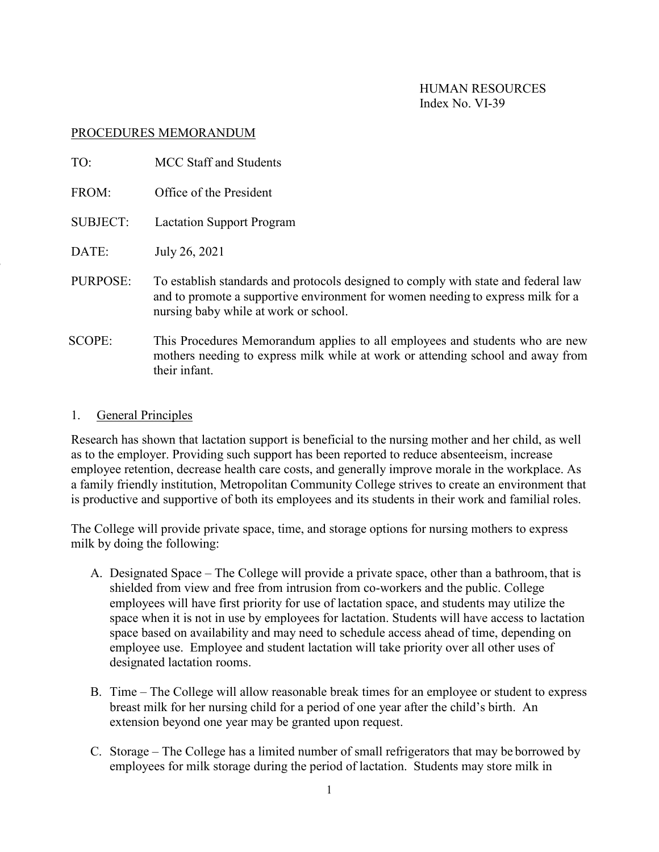HUMAN RESOURCES Index No. VI-39

### PROCEDURES MEMORANDUM

| TO:             | <b>MCC Staff and Students</b>                                                                                                                                                                                  |
|-----------------|----------------------------------------------------------------------------------------------------------------------------------------------------------------------------------------------------------------|
| FROM:           | Office of the President                                                                                                                                                                                        |
| <b>SUBJECT:</b> | <b>Lactation Support Program</b>                                                                                                                                                                               |
| DATE:           | July 26, 2021                                                                                                                                                                                                  |
| PURPOSE:        | To establish standards and protocols designed to comply with state and federal law<br>and to promote a supportive environment for women needing to express milk for a<br>nursing baby while at work or school. |
| SCOPE:          | This Procedures Memorandum applies to all employees and students who are new<br>mothers needing to express milk while at work or attending school and away from<br>their infant.                               |

#### 1. General Principles

Research has shown that lactation support is beneficial to the nursing mother and her child, as well as to the employer. Providing such support has been reported to reduce absenteeism, increase employee retention, decrease health care costs, and generally improve morale in the workplace. As a family friendly institution, Metropolitan Community College strives to create an environment that is productive and supportive of both its employees and its students in their work and familial roles.

The College will provide private space, time, and storage options for nursing mothers to express milk by doing the following:

- A. Designated Space The College will provide a private space, other than a bathroom, that is shielded from view and free from intrusion from co-workers and the public. College employees will have first priority for use of lactation space, and students may utilize the space when it is not in use by employees for lactation. Students will have access to lactation space based on availability and may need to schedule access ahead of time, depending on employee use. Employee and student lactation will take priority over all other uses of designated lactation rooms.
- B. Time The College will allow reasonable break times for an employee or student to express breast milk for her nursing child for a period of one year after the child's birth. An extension beyond one year may be granted upon request.
- C. Storage The College has a limited number of small refrigerators that may be borrowed by employees for milk storage during the period of lactation. Students may store milk in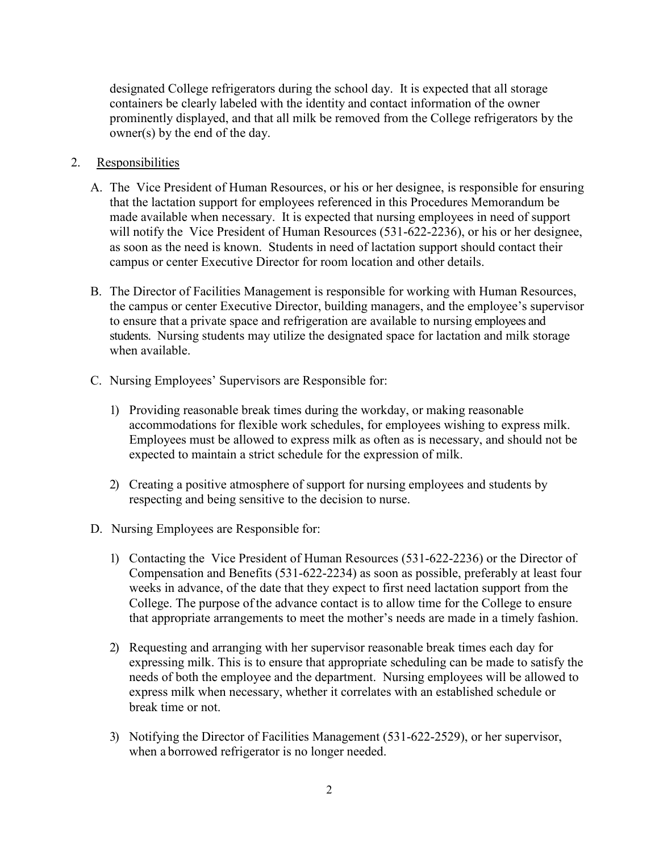designated College refrigerators during the school day. It is expected that all storage containers be clearly labeled with the identity and contact information of the owner prominently displayed, and that all milk be removed from the College refrigerators by the owner(s) by the end of the day.

## 2. Responsibilities

- A. The Vice President of Human Resources, or his or her designee, is responsible for ensuring that the lactation support for employees referenced in this Procedures Memorandum be made available when necessary. It is expected that nursing employees in need of support will notify the Vice President of Human Resources (531-622-2236), or his or her designee, as soon as the need is known. Students in need of lactation support should contact their campus or center Executive Director for room location and other details.
- B. The Director of Facilities Management is responsible for working with Human Resources, the campus or center Executive Director, building managers, and the employee's supervisor to ensure that a private space and refrigeration are available to nursing employees and students. Nursing students may utilize the designated space for lactation and milk storage when available.
- C. Nursing Employees' Supervisors are Responsible for:
	- 1) Providing reasonable break times during the workday, or making reasonable accommodations for flexible work schedules, for employees wishing to express milk. Employees must be allowed to express milk as often as is necessary, and should not be expected to maintain a strict schedule for the expression of milk.
	- 2) Creating a positive atmosphere of support for nursing employees and students by respecting and being sensitive to the decision to nurse.
- D. Nursing Employees are Responsible for:
	- 1) Contacting the Vice President of Human Resources (531-622-2236) or the Director of Compensation and Benefits (531-622-2234) as soon as possible, preferably at least four weeks in advance, of the date that they expect to first need lactation support from the College. The purpose of the advance contact is to allow time for the College to ensure that appropriate arrangements to meet the mother's needs are made in a timely fashion.
	- 2) Requesting and arranging with her supervisor reasonable break times each day for expressing milk. This is to ensure that appropriate scheduling can be made to satisfy the needs of both the employee and the department. Nursing employees will be allowed to express milk when necessary, whether it correlates with an established schedule or break time or not.
	- 3) Notifying the Director of Facilities Management (531-622-2529), or her supervisor, when a borrowed refrigerator is no longer needed.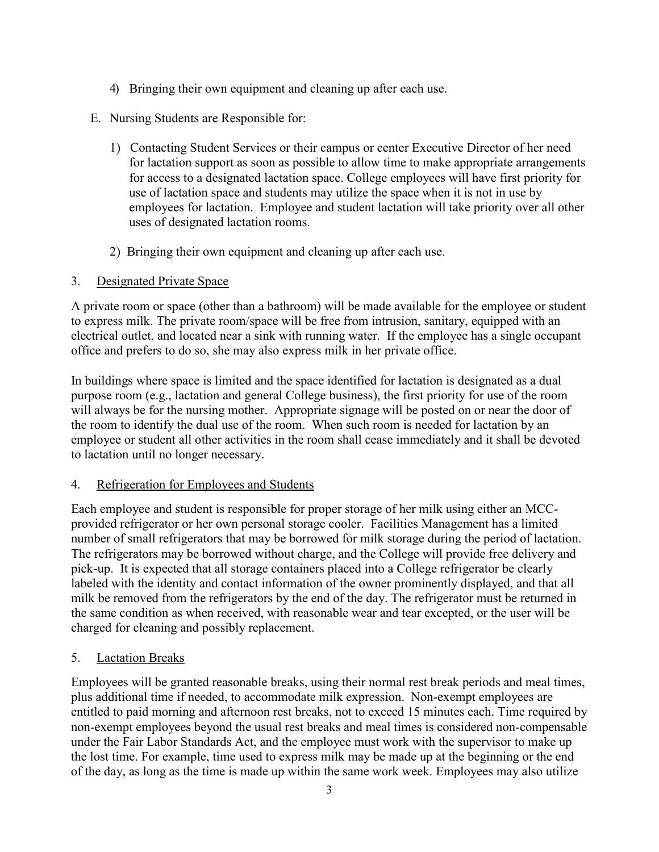- 4) Bringing their own equipment and cleaning up after each use.
- E. Nursing Students are Responsible for:
	- 1) Contacting Student Services or their campus or center Executive Director of her need for lactation support as soon as possible to allow time to make appropriate arrangements for access to a designated lactation space. College employees will have first priority for use of lactation space and students may utilize the space when it is not in use by employees for lactation. Employee and student lactation will take priority over all other uses of designated lactation rooms.
	- 2) Bringing their own equipment and cleaning up after each use.

## 3. Designated Private Space

A private room or space (other than a bathroom) will be made available for the employee or student to express milk. The private room/space will be free from intrusion, sanitary, equipped with an electrical outlet, and located near a sink with running water. If the employee has a single occupant office and prefers to do so, she may also express milk in her private office.

In buildings where space is limited and the space identified for lactation is designated as a dual purpose room (e.g., lactation and general College business), the first priority for use of the room will always be for the nursing mother. Appropriate signage will be posted on or near the door of the room to identify the dual use of the room. When such room is needed for lactation by an employee or student all other activities in the room shall cease immediately and it shall be devoted to lactation until no longer necessary.

## 4. Refrigeration for Employees and Students

Each employee and student is responsible for proper storage of her milk using either an MCCprovided refrigerator or her own personal storage cooler. Facilities Management has a limited number of small refrigerators that may be borrowed for milk storage during the period of lactation. The refrigerators may be borrowed without charge, and the College will provide free delivery and pick-up. It is expected that all storage containers placed into a College refrigerator be clearly labeled with the identity and contact information of the owner prominently displayed, and that all milk be removed from the refrigerators by the end of the day. The refrigerator must be returned in the same condition as when received, with reasonable wear and tear excepted, or the user will be charged for cleaning and possibly replacement.

# 5. Lactation Breaks

Employees will be granted reasonable breaks, using their normal rest break periods and meal times, plus additional time if needed, to accommodate milk expression. Non-exempt employees are entitled to paid morning and afternoon rest breaks, not to exceed 15 minutes each. Time required by non-exempt employees beyond the usual rest breaks and meal times is considered non-compensable under the Fair Labor Standards Act, and the employee must work with the supervisor to make up the lost time. For example, time used to express milk may be made up at the beginning or the end of the day, as long as the time is made up within the same work week. Employees may also utilize